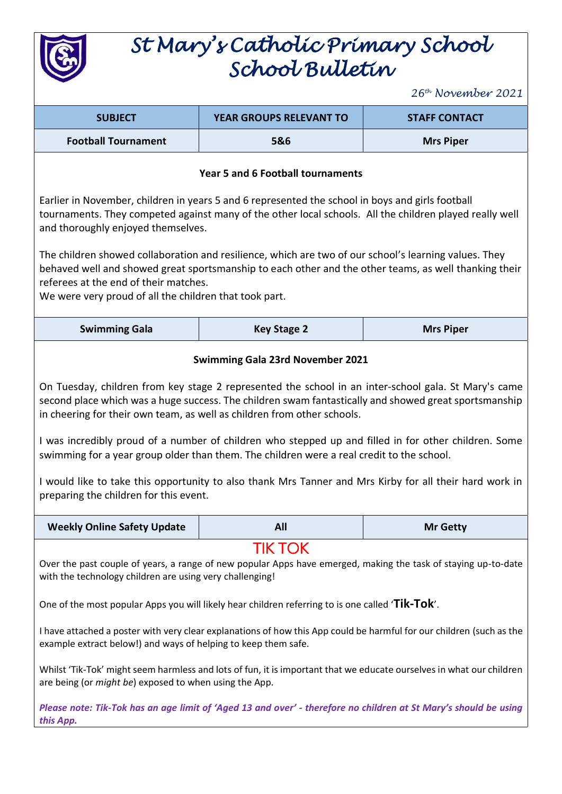

## *St Mary's Catholic Primary School School Bulletin*

*26th November 2021*

|                                                                                                                                                                                                                                                                                                                                                                                                                                                                                                                                                                                                                                                                                               |                                                                                                                                                                                                                                                                                                                                                                                                                                                                                                                                                                                                          | 26th November 2021   |  |
|-----------------------------------------------------------------------------------------------------------------------------------------------------------------------------------------------------------------------------------------------------------------------------------------------------------------------------------------------------------------------------------------------------------------------------------------------------------------------------------------------------------------------------------------------------------------------------------------------------------------------------------------------------------------------------------------------|----------------------------------------------------------------------------------------------------------------------------------------------------------------------------------------------------------------------------------------------------------------------------------------------------------------------------------------------------------------------------------------------------------------------------------------------------------------------------------------------------------------------------------------------------------------------------------------------------------|----------------------|--|
| <b>SUBJECT</b>                                                                                                                                                                                                                                                                                                                                                                                                                                                                                                                                                                                                                                                                                | <b>YEAR GROUPS RELEVANT TO</b>                                                                                                                                                                                                                                                                                                                                                                                                                                                                                                                                                                           | <b>STAFF CONTACT</b> |  |
| <b>Football Tournament</b>                                                                                                                                                                                                                                                                                                                                                                                                                                                                                                                                                                                                                                                                    | 5&6                                                                                                                                                                                                                                                                                                                                                                                                                                                                                                                                                                                                      | <b>Mrs Piper</b>     |  |
| Year 5 and 6 Football tournaments                                                                                                                                                                                                                                                                                                                                                                                                                                                                                                                                                                                                                                                             |                                                                                                                                                                                                                                                                                                                                                                                                                                                                                                                                                                                                          |                      |  |
| Earlier in November, children in years 5 and 6 represented the school in boys and girls football<br>tournaments. They competed against many of the other local schools. All the children played really well<br>and thoroughly enjoyed themselves.                                                                                                                                                                                                                                                                                                                                                                                                                                             |                                                                                                                                                                                                                                                                                                                                                                                                                                                                                                                                                                                                          |                      |  |
| The children showed collaboration and resilience, which are two of our school's learning values. They<br>behaved well and showed great sportsmanship to each other and the other teams, as well thanking their<br>referees at the end of their matches.<br>We were very proud of all the children that took part.                                                                                                                                                                                                                                                                                                                                                                             |                                                                                                                                                                                                                                                                                                                                                                                                                                                                                                                                                                                                          |                      |  |
| <b>Swimming Gala</b>                                                                                                                                                                                                                                                                                                                                                                                                                                                                                                                                                                                                                                                                          | <b>Key Stage 2</b>                                                                                                                                                                                                                                                                                                                                                                                                                                                                                                                                                                                       | <b>Mrs Piper</b>     |  |
| <b>Swimming Gala 23rd November 2021</b><br>On Tuesday, children from key stage 2 represented the school in an inter-school gala. St Mary's came<br>second place which was a huge success. The children swam fantastically and showed great sportsmanship<br>in cheering for their own team, as well as children from other schools.<br>I was incredibly proud of a number of children who stepped up and filled in for other children. Some<br>swimming for a year group older than them. The children were a real credit to the school.<br>I would like to take this opportunity to also thank Mrs Tanner and Mrs Kirby for all their hard work in<br>preparing the children for this event. |                                                                                                                                                                                                                                                                                                                                                                                                                                                                                                                                                                                                          |                      |  |
| <b>Weekly Online Safety Update</b>                                                                                                                                                                                                                                                                                                                                                                                                                                                                                                                                                                                                                                                            | All                                                                                                                                                                                                                                                                                                                                                                                                                                                                                                                                                                                                      | <b>Mr Getty</b>      |  |
| with the technology children are using very challenging!<br>example extract below!) and ways of helping to keep them safe.<br>are being (or <i>might be</i> ) exposed to when using the App.                                                                                                                                                                                                                                                                                                                                                                                                                                                                                                  | <b>TIK TOK</b><br>Over the past couple of years, a range of new popular Apps have emerged, making the task of staying up-to-date<br>One of the most popular Apps you will likely hear children referring to is one called 'Tik-Tok'.<br>I have attached a poster with very clear explanations of how this App could be harmful for our children (such as the<br>Whilst 'Tik-Tok' might seem harmless and lots of fun, it is important that we educate ourselves in what our children<br>Please note: Tik-Tok has an age limit of 'Aged 13 and over' - therefore no children at St Mary's should be using |                      |  |
| this App.                                                                                                                                                                                                                                                                                                                                                                                                                                                                                                                                                                                                                                                                                     |                                                                                                                                                                                                                                                                                                                                                                                                                                                                                                                                                                                                          |                      |  |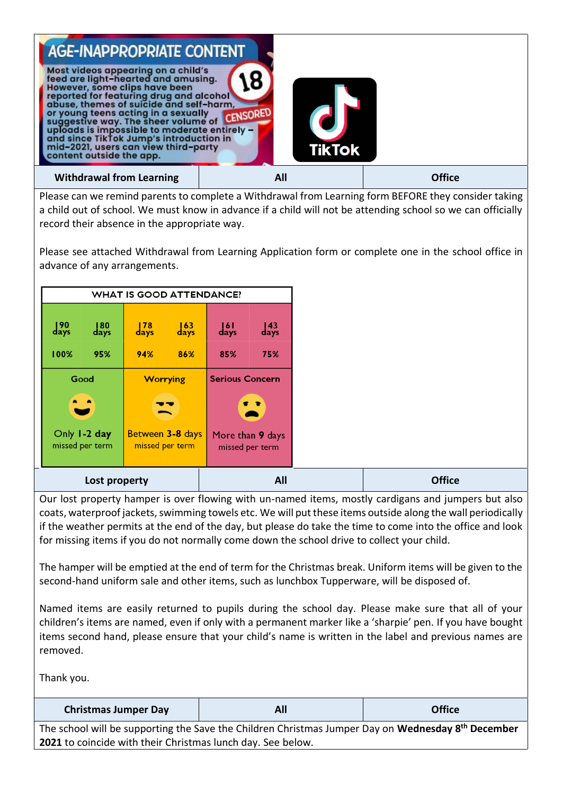

Please can we remind parents to complete a Withdrawal from Learning form BEFORE they consider taking a child out of school. We must know in advance if a child will not be attending school so we can officially record their absence in the appropriate way.

Please see attached Withdrawal from Learning Application form or complete one in the school office in advance of any arrangements.

|                           |                                 | <b>WHAT IS GOOD ATTENDANCE?</b> |                           |                           |                                     |
|---------------------------|---------------------------------|---------------------------------|---------------------------|---------------------------|-------------------------------------|
| $\frac{190}{\text{days}}$ | $\frac{180}{\text{days}}$       | $\frac{178}{\text{days}}$       | $\frac{163}{\text{days}}$ | $\frac{ 6 }{\text{days}}$ | $\frac{143}{\text{days}}$           |
| 100%                      | 95%                             | 94%                             | 86%                       | 85%                       | 75%                                 |
|                           | Good                            | <b>Worrying</b>                 |                           | <b>Serious Concern</b>    |                                     |
|                           | $\bullet$ $\bullet$             |                                 | ╍                         |                           | $\bullet$ $\bullet$                 |
|                           | Only 1-2 day<br>missed per term | missed per term                 | Between 3-8 days          |                           | More than 9 days<br>missed per term |
|                           | Lost property                   |                                 |                           |                           | All                                 |

Our lost property hamper is over flowing with un-named items, mostly cardigans and jumpers but also coats, waterproof jackets, swimming towels etc. We will put these items outside along the wall periodically if the weather permits at the end of the day, but please do take the time to come into the office and look for missing items if you do not normally come down the school drive to collect your child.

The hamper will be emptied at the end of term for the Christmas break. Uniform items will be given to the second-hand uniform sale and other items, such as lunchbox Tupperware, will be disposed of.

Named items are easily returned to pupils during the school day. Please make sure that all of your children's items are named, even if only with a permanent marker like a 'sharpie' pen. If you have bought items second hand, please ensure that your child's name is written in the label and previous names are removed.

Thank you.

| <b>Christmas Jumper Day</b> | All                                                                                                       | <b>Office</b> |
|-----------------------------|-----------------------------------------------------------------------------------------------------------|---------------|
|                             | The school will be supporting the Save the Children Christmas Jumper Day on <b>Wednesday 8th Desember</b> |               |

The school will be supporting the Save the Children Christmas Jumper Day on **Wednesday 8th December 2021** to coincide with their Christmas lunch day. See below.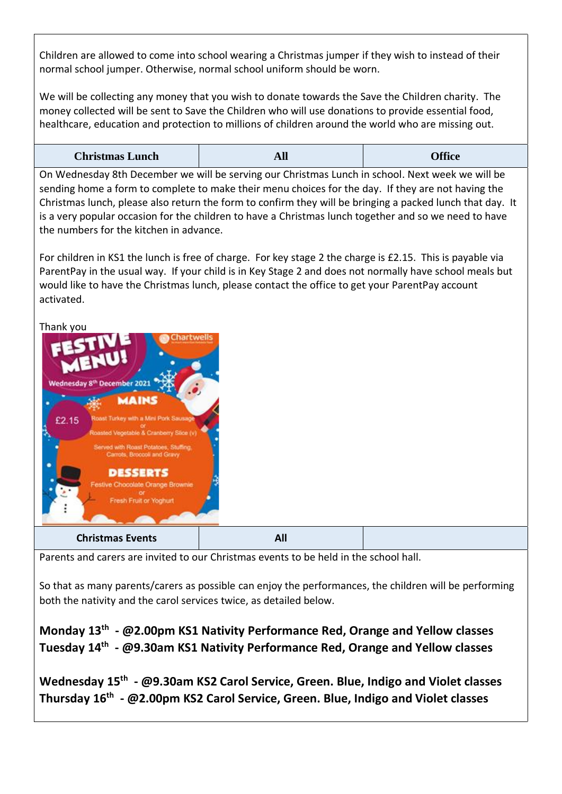Children are allowed to come into school wearing a Christmas jumper if they wish to instead of their normal school jumper. Otherwise, normal school uniform should be worn.

We will be collecting any money that you wish to donate towards the Save the Children charity. The money collected will be sent to Save the Children who will use donations to provide essential food, healthcare, education and protection to millions of children around the world who are missing out.

| <b>Christmas Lunch</b> | All | <b>Office</b> |
|------------------------|-----|---------------|
|------------------------|-----|---------------|

On Wednesday 8th December we will be serving our Christmas Lunch in school. Next week we will be sending home a form to complete to make their menu choices for the day. If they are not having the Christmas lunch, please also return the form to confirm they will be bringing a packed lunch that day. It is a very popular occasion for the children to have a Christmas lunch together and so we need to have the numbers for the kitchen in advance.

For children in KS1 the lunch is free of charge. For key stage 2 the charge is £2.15. This is payable via ParentPay in the usual way. If your child is in Key Stage 2 and does not normally have school meals but would like to have the Christmas lunch, please contact the office to get your ParentPay account activated.

Thank you



Parents and carers are invited to our Christmas events to be held in the school hall.

So that as many parents/carers as possible can enjoy the performances, the children will be performing both the nativity and the carol services twice, as detailed below.

**Monday 13th - @2.00pm KS1 Nativity Performance Red, Orange and Yellow classes Tuesday 14th - @9.30am KS1 Nativity Performance Red, Orange and Yellow classes**

**Wednesday 15th - @9.30am KS2 Carol Service, Green. Blue, Indigo and Violet classes Thursday 16th - @2.00pm KS2 Carol Service, Green. Blue, Indigo and Violet classes**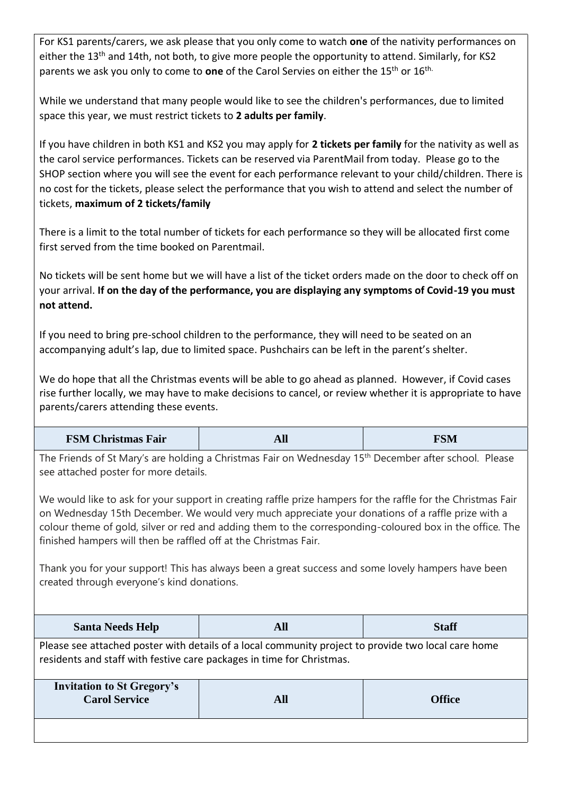For KS1 parents/carers, we ask please that you only come to watch **one** of the nativity performances on either the 13<sup>th</sup> and 14th, not both, to give more people the opportunity to attend. Similarly, for KS2 parents we ask you only to come to **one** of the Carol Servies on either the 15th or 16th.

While we understand that many people would like to see the children's performances, due to limited space this year, we must restrict tickets to **2 adults per family**.

If you have children in both KS1 and KS2 you may apply for **2 tickets per family** for the nativity as well as the carol service performances. Tickets can be reserved via ParentMail from today. Please go to the SHOP section where you will see the event for each performance relevant to your child/children. There is no cost for the tickets, please select the performance that you wish to attend and select the number of tickets, **maximum of 2 tickets/family**

There is a limit to the total number of tickets for each performance so they will be allocated first come first served from the time booked on Parentmail.

No tickets will be sent home but we will have a list of the ticket orders made on the door to check off on your arrival. **If on the day of the performance, you are displaying any symptoms of Covid-19 you must not attend.** 

If you need to bring pre-school children to the performance, they will need to be seated on an accompanying adult's lap, due to limited space. Pushchairs can be left in the parent's shelter.

We do hope that all the Christmas events will be able to go ahead as planned. However, if Covid cases rise further locally, we may have to make decisions to cancel, or review whether it is appropriate to have parents/carers attending these events.

| <b>FSM Christmas Fair</b> | AIJ | <b>FSM</b> |
|---------------------------|-----|------------|
|                           |     |            |

The Friends of St Mary's are holding a Christmas Fair on Wednesday 15<sup>th</sup> December after school. Please see attached poster for more details.

We would like to ask for your support in creating raffle prize hampers for the raffle for the Christmas Fair on Wednesday 15th December. We would very much appreciate your donations of a raffle prize with a colour theme of gold, silver or red and adding them to the corresponding-coloured box in the office. The finished hampers will then be raffled off at the Christmas Fair.

Thank you for your support! This has always been a great success and some lovely hampers have been created through everyone's kind donations.

| <b>Santa Needs Help</b>                                                                                                                                                      | All | <b>Staff</b>  |  |
|------------------------------------------------------------------------------------------------------------------------------------------------------------------------------|-----|---------------|--|
| Please see attached poster with details of a local community project to provide two local care home<br>residents and staff with festive care packages in time for Christmas. |     |               |  |
| <b>Invitation to St Gregory's</b><br><b>Carol Service</b>                                                                                                                    | All | <b>Office</b> |  |
|                                                                                                                                                                              |     |               |  |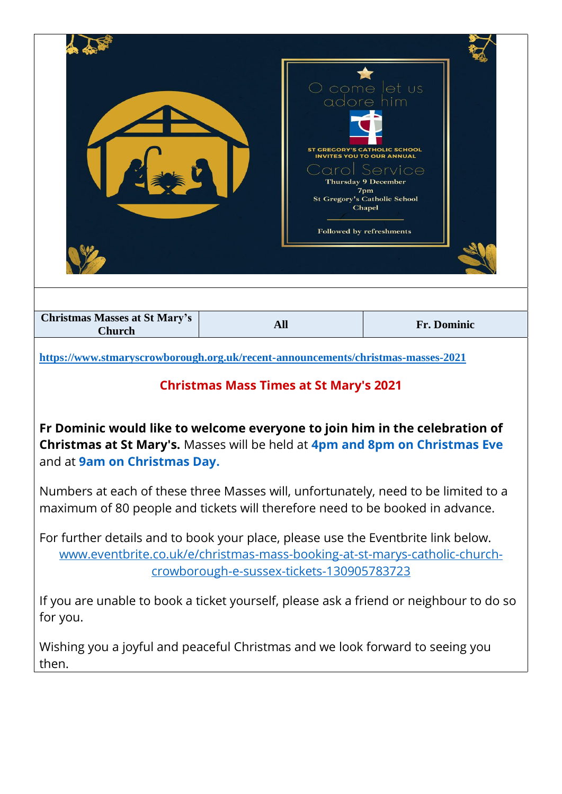|                                                                                                                                                                                                                                                                                                                                 |            | come let us<br>adore him<br><b>ST GREGORY'S CATHOLIC SCHOOL</b><br><b>INVITES YOU TO OUR ANNUAL</b><br>Service<br><b>Thursday 9 December</b><br>7 <sub>pm</sub><br><b>St Gregory's Catholic School</b><br>Chapel<br>Followed by refreshments |  |
|---------------------------------------------------------------------------------------------------------------------------------------------------------------------------------------------------------------------------------------------------------------------------------------------------------------------------------|------------|----------------------------------------------------------------------------------------------------------------------------------------------------------------------------------------------------------------------------------------------|--|
| <b>Christmas Masses at St Mary's</b><br><b>Church</b>                                                                                                                                                                                                                                                                           | <b>All</b> | Fr. Dominic                                                                                                                                                                                                                                  |  |
| https://www.stmaryscrowborough.org.uk/recent-announcements/christmas-masses-2021<br><b>Christmas Mass Times at St Mary's 2021</b><br>Fr Dominic would like to welcome everyone to join him in the celebration of<br>Christmas at St Mary's. Masses will be held at 4pm and 8pm on Christmas Eve<br>and at 9am on Christmas Day. |            |                                                                                                                                                                                                                                              |  |
| Numbers at each of these three Masses will, unfortunately, need to be limited to a<br>maximum of 80 people and tickets will therefore need to be booked in advance.                                                                                                                                                             |            |                                                                                                                                                                                                                                              |  |
| For further details and to book your place, please use the Eventbrite link below.<br>www.eventbrite.co.uk/e/christmas-mass-booking-at-st-marys-catholic-church-<br>crowborough-e-sussex-tickets-130905783723                                                                                                                    |            |                                                                                                                                                                                                                                              |  |
| for you.                                                                                                                                                                                                                                                                                                                        |            | If you are unable to book a ticket yourself, please ask a friend or neighbour to do so                                                                                                                                                       |  |
| Wishing you a joyful and peaceful Christmas and we look forward to seeing you<br>then.                                                                                                                                                                                                                                          |            |                                                                                                                                                                                                                                              |  |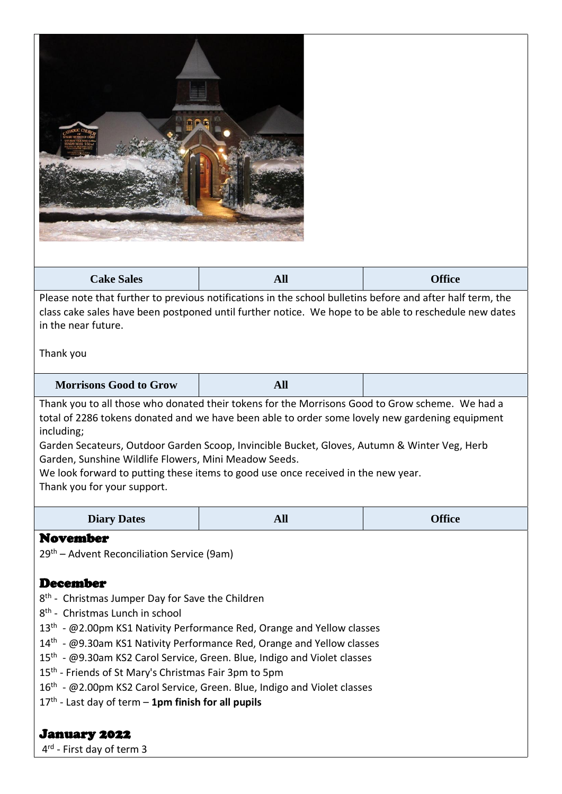| <b>All</b>                                                                                                                                                                                                                                                                                                                                                                                                                                                                                    | <b>Office</b> |  |  |
|-----------------------------------------------------------------------------------------------------------------------------------------------------------------------------------------------------------------------------------------------------------------------------------------------------------------------------------------------------------------------------------------------------------------------------------------------------------------------------------------------|---------------|--|--|
| Please note that further to previous notifications in the school bulletins before and after half term, the<br>class cake sales have been postponed until further notice. We hope to be able to reschedule new dates<br>in the near future.<br>Thank you                                                                                                                                                                                                                                       |               |  |  |
| <b>All</b>                                                                                                                                                                                                                                                                                                                                                                                                                                                                                    |               |  |  |
| Thank you to all those who donated their tokens for the Morrisons Good to Grow scheme. We had a<br>total of 2286 tokens donated and we have been able to order some lovely new gardening equipment<br>including;<br>Garden Secateurs, Outdoor Garden Scoop, Invincible Bucket, Gloves, Autumn & Winter Veg, Herb<br>Garden, Sunshine Wildlife Flowers, Mini Meadow Seeds.<br>We look forward to putting these items to good use once received in the new year.<br>Thank you for your support. |               |  |  |
|                                                                                                                                                                                                                                                                                                                                                                                                                                                                                               |               |  |  |
| <b>All</b>                                                                                                                                                                                                                                                                                                                                                                                                                                                                                    | <b>Office</b> |  |  |
|                                                                                                                                                                                                                                                                                                                                                                                                                                                                                               |               |  |  |